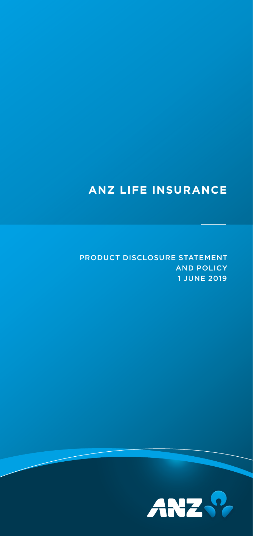## **ANZ LIFE INSURANCE**

PRODUCT DISCLOSURE STATEMENT AND POLICY 1 JUNE 2019

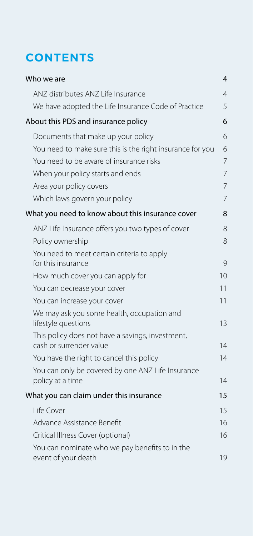## **CONTENTS**

| Who we are                                                                  | 4  |
|-----------------------------------------------------------------------------|----|
| ANZ distributes ANZ Life Insurance                                          | 4  |
| We have adopted the Life Insurance Code of Practice                         | 5  |
| About this PDS and insurance policy                                         | 6  |
| Documents that make up your policy                                          | 6  |
| You need to make sure this is the right insurance for you                   | 6  |
| You need to be aware of insurance risks                                     | 7  |
| When your policy starts and ends                                            | 7  |
| Area your policy covers                                                     | 7  |
| Which laws govern your policy                                               | 7  |
| What you need to know about this insurance cover                            | 8  |
| ANZ Life Insurance offers you two types of cover                            | 8  |
| Policy ownership                                                            | 8  |
| You need to meet certain criteria to apply<br>for this insurance            | 9  |
| How much cover you can apply for                                            | 10 |
| You can decrease your cover                                                 | 11 |
| You can increase your cover                                                 | 11 |
| We may ask you some health, occupation and<br>lifestyle questions           | 13 |
| This policy does not have a savings, investment,<br>cash or surrender value | 14 |
| You have the right to cancel this policy                                    | 14 |
| You can only be covered by one ANZ Life Insurance<br>policy at a time       | 14 |
| What you can claim under this insurance                                     | 15 |
| Life Cover                                                                  | 15 |
| Advance Assistance Benefit                                                  | 16 |
| Critical Illness Cover (optional)                                           | 16 |
| You can nominate who we pay benefits to in the<br>event of your death       | 19 |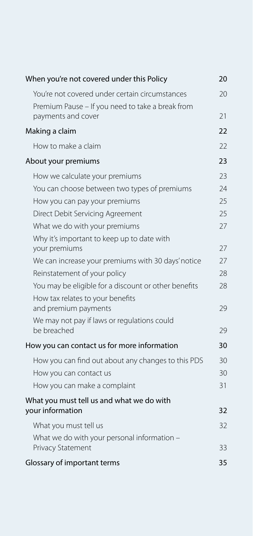| When you're not covered under this Policy                     | 20 |
|---------------------------------------------------------------|----|
| You're not covered under certain circumstances                | 20 |
| Premium Pause - If you need to take a break from              |    |
| payments and cover                                            | 21 |
| Making a claim                                                | 22 |
| How to make a claim                                           | 22 |
| About your premiums                                           | 23 |
| How we calculate your premiums                                | 23 |
| You can choose between two types of premiums                  | 24 |
| How you can pay your premiums                                 | 25 |
| Direct Debit Servicing Agreement                              | 25 |
| What we do with your premiums                                 | 27 |
| Why it's important to keep up to date with                    |    |
| your premiums                                                 | 27 |
| We can increase your premiums with 30 days' notice            | 27 |
| Reinstatement of your policy                                  | 28 |
| You may be eligible for a discount or other benefits          | 28 |
| How tax relates to your benefits<br>and premium payments      | 29 |
| We may not pay if laws or regulations could                   |    |
| be breached                                                   | 29 |
| How you can contact us for more information                   | 30 |
| How you can find out about any changes to this PDS            | 30 |
| How you can contact us                                        | 30 |
| How you can make a complaint                                  | 31 |
| What you must tell us and what we do with<br>your information | 32 |
| What you must tell us                                         | 32 |
| What we do with your personal information -                   |    |
| Privacy Statement                                             | 33 |
| Glossary of important terms                                   | 35 |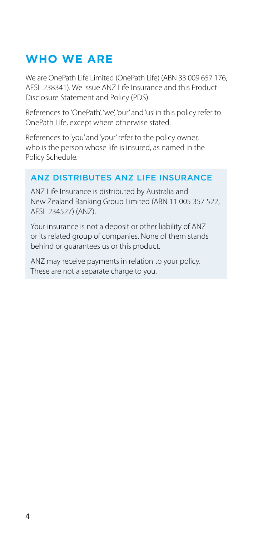## <span id="page-3-0"></span>**WHO WE ARE**

We are OnePath Life Limited (OnePath Life) (ABN 33 009 657 176, AFSL 238341). We issue ANZ Life Insurance and this Product Disclosure Statement and Policy (PDS).

References to 'OnePath', 'we', 'our' and 'us' in this policy refer to OnePath Life, except where otherwise stated.

References to 'you' and 'your' refer to the policy owner, who is the person whose life is insured, as named in the Policy Schedule.

#### ANZ DISTRIBUTES ANZ LIFE INSURANCE

ANZ Life Insurance is distributed by Australia and New Zealand Banking Group Limited (ABN 11 005 357 522, AFSL 234527) (ANZ).

Your insurance is not a deposit or other liability of ANZ or its related group of companies. None of them stands behind or guarantees us or this product.

ANZ may receive payments in relation to your policy. These are not a separate charge to you.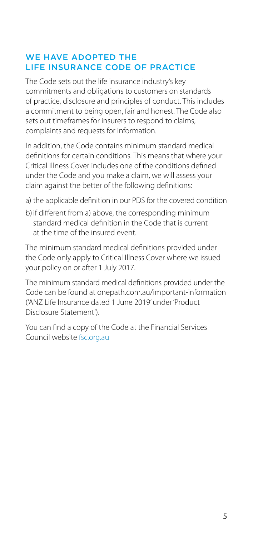#### <span id="page-4-0"></span>WE HAVE ADOPTED THE LIFE INSURANCE CODE OF PRACTICE

The Code sets out the life insurance industry's key commitments and obligations to customers on standards of practice, disclosure and principles of conduct. This includes a commitment to being open, fair and honest. The Code also sets out timeframes for insurers to respond to claims, complaints and requests for information.

In addition, the Code contains minimum standard medical definitions for certain conditions. This means that where your Critical Illness Cover includes one of the conditions defined under the Code and you make a claim, we will assess your claim against the better of the following definitions:

- a) the applicable definition in our PDS for the covered condition
- b)if different from a) above, the corresponding minimum standard medical definition in the Code that is current at the time of the insured event.

The minimum standard medical definitions provided under the Code only apply to Critical Illness Cover where we issued your policy on or after 1 July 2017.

The minimum standard medical definitions provided under the Code can be found at [onepath.com.au/important-information](http://onepath.com.au/important-information) ('ANZ Life Insurance dated 1 June 2019' under 'Product Disclosure Statement').

You can find a copy of the Code at the Financial Services Council website [fsc.org.au](http://fsc.org.au)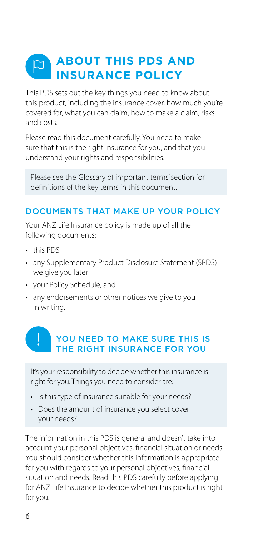#### <span id="page-5-0"></span>**ABOUT THIS PDS AND**   $\Box$ **INSURANCE POLICY**

This PDS sets out the key things you need to know about this product, including the insurance cover, how much you're covered for, what you can claim, how to make a claim, risks and costs.

Please read this document carefully. You need to make sure that this is the right insurance for you, and that you understand your rights and responsibilities.

Please see the 'Glossary of important terms' section for definitions of the key terms in this document.

#### DOCUMENTS THAT MAKE UP YOUR POLICY

Your ANZ Life Insurance policy is made up of all the following documents:

- this PDS
- any Supplementary Product Disclosure Statement (SPDS) we give you later
- your Policy Schedule, and
- any endorsements or other notices we give to you in writing.

## YOU NEED TO MAKE SURE THIS IS THE RIGHT INSURANCE FOR YOU

It's your responsibility to decide whether this insurance is right for you. Things you need to consider are:

- Is this type of insurance suitable for your needs?
- Does the amount of insurance you select cover your needs?

The information in this PDS is general and doesn't take into account your personal objectives, financial situation or needs. You should consider whether this information is appropriate for you with regards to your personal objectives, financial situation and needs. Read this PDS carefully before applying for ANZ Life Insurance to decide whether this product is right for you.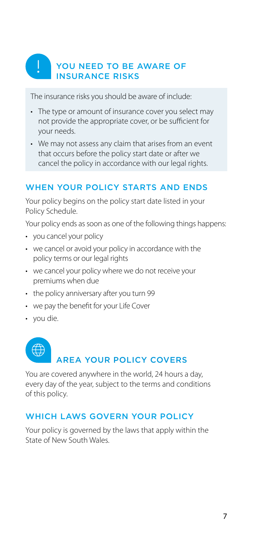## <span id="page-6-0"></span>YOU NEED TO BE AWARE OF INSURANCE RISKS

The insurance risks you should be aware of include:

- The type or amount of insurance cover you select may not provide the appropriate cover, or be sufficient for your needs.
- We may not assess any claim that arises from an event that occurs before the policy start date or after we cancel the policy in accordance with our legal rights.

#### WHEN YOUR POLICY STARTS AND ENDS

Your policy begins on the policy start date listed in your Policy Schedule.

Your policy ends as soon as one of the following things happens:

- you cancel your policy
- we cancel or avoid your policy in accordance with the policy terms or our legal rights
- we cancel your policy where we do not receive your premiums when due
- the policy anniversary after you turn 99
- we pay the benefit for your Life Cover
- you die.

## AREA YOUR POLICY COVERS

You are covered anywhere in the world, 24 hours a day, every day of the year, subject to the terms and conditions of this policy.

#### WHICH LAWS GOVERN YOUR POLICY

Your policy is governed by the laws that apply within the State of New South Wales.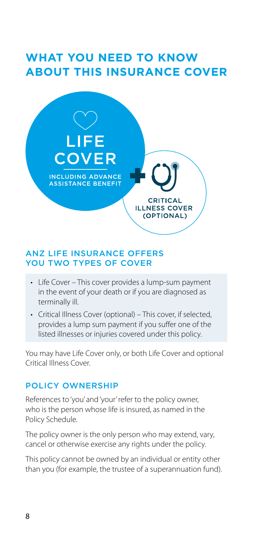## <span id="page-7-0"></span>**WHAT YOU NEED TO KNOW ABOUT THIS INSURANCE COVER**



#### ANZ LIFE INSURANCE OFFERS YOU TWO TYPES OF COVER

- Life Cover This cover provides a lump-sum payment in the event of your death or if you are diagnosed as terminally ill.
- Critical Illness Cover (optional) This cover, if selected, provides a lump sum payment if you suffer one of the listed illnesses or injuries covered under this policy.

You may have Life Cover only, or both Life Cover and optional Critical Illness Cover.

#### POLICY OWNERSHIP

References to 'you' and 'your' refer to the policy owner, who is the person whose life is insured, as named in the Policy Schedule.

The policy owner is the only person who may extend, vary, cancel or otherwise exercise any rights under the policy.

This policy cannot be owned by an individual or entity other than you (for example, the trustee of a superannuation fund).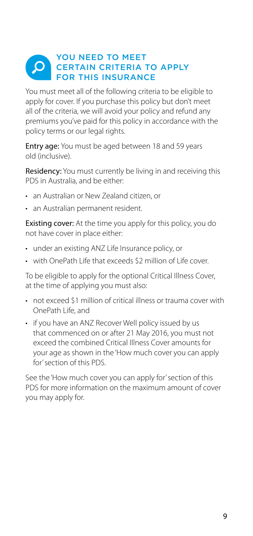#### <span id="page-8-0"></span>YOU NEED TO MEET  $\alpha$ CERTAIN CRITERIA TO APPLY FOR THIS INSURANCE

You must meet all of the following criteria to be eligible to apply for cover. If you purchase this policy but don't meet all of the criteria, we will avoid your policy and refund any premiums you've paid for this policy in accordance with the policy terms or our legal rights.

Entry age: You must be aged between 18 and 59 years old (inclusive).

Residency: You must currently be living in and receiving this PDS in Australia, and be either:

- an Australian or New Zealand citizen, or
- an Australian permanent resident.

**Existing cover:** At the time you apply for this policy, you do not have cover in place either:

- under an existing ANZ Life Insurance policy, or
- with OnePath Life that exceeds \$2 million of Life cover.

To be eligible to apply for the optional Critical Illness Cover, at the time of applying you must also:

- not exceed \$1 million of critical illness or trauma cover with OnePath Life, and
- if you have an ANZ Recover Well policy issued by us that commenced on or after 21 May 2016, you must not exceed the combined Critical Illness Cover amounts for your age as shown in the 'How much cover you can apply for' section of this PDS.

See the 'How much cover you can apply for' section of this PDS for more information on the maximum amount of cover you may apply for.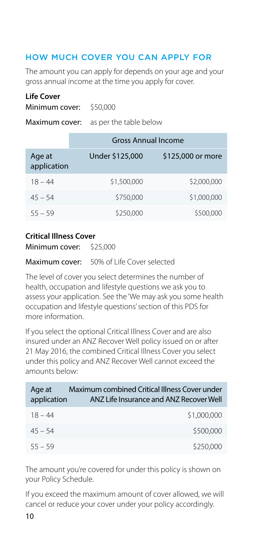#### <span id="page-9-0"></span>HOW MUCH COVER YOU CAN APPLY FOR

The amount you can apply for depends on your age and your gross annual income at the time you apply for cover.

#### **Life Cover**

Minimum cover: \$50,000

Maximum cover: as per the table below

|                       | <b>Gross Annual Income</b> |                   |  |
|-----------------------|----------------------------|-------------------|--|
| Age at<br>application | Under \$125,000            | \$125,000 or more |  |
| $18 - 44$             | \$1,500,000                | \$2,000,000       |  |
| $45 - 54$             | \$750,000                  | \$1,000,000       |  |
| $55 - 59$             | \$250,000                  | \$500,000         |  |

#### **Critical Illness Cover**

Minimum cover: \$25,000

Maximum cover: 50% of Life Cover selected

The level of cover you select determines the number of health, occupation and lifestyle questions we ask you to assess your application. See the 'We may ask you some health occupation and lifestyle questions' section of this PDS for more information.

If you select the optional Critical Illness Cover and are also insured under an ANZ Recover Well policy issued on or after 21 May 2016, the combined Critical Illness Cover you select under this policy and ANZ Recover Well cannot exceed the amounts below:

| Age at<br>application | Maximum combined Critical Illness Cover under<br>ANZ Life Insurance and ANZ Recover Well |
|-----------------------|------------------------------------------------------------------------------------------|
| $18 - 44$             | \$1,000,000                                                                              |
| $45 - 54$             | \$500,000                                                                                |
| $55 - 59$             | \$250,000                                                                                |

The amount you're covered for under this policy is shown on your Policy Schedule.

If you exceed the maximum amount of cover allowed, we will cancel or reduce your cover under your policy accordingly.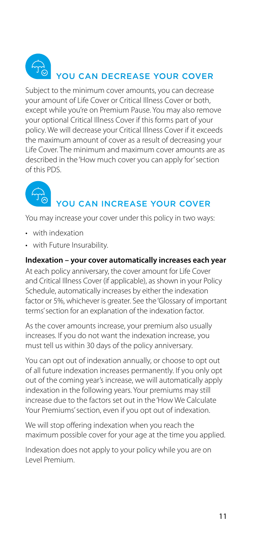## <span id="page-10-0"></span> $\overrightarrow{T_{\Omega}}$ YOU CAN DECREASE YOUR COVER

Subject to the minimum cover amounts, you can decrease your amount of Life Cover or Critical Illness Cover or both, except while you're on Premium Pause. You may also remove your optional Critical Illness Cover if this forms part of your policy. We will decrease your Critical Illness Cover if it exceeds the maximum amount of cover as a result of decreasing your Life Cover. The minimum and maximum cover amounts are as described in the 'How much cover you can apply for' section of this PDS.



## YOU CAN INCREASE YOUR COVER

You may increase your cover under this policy in two ways:

- with indexation
- with Future Insurability.

#### **Indexation – your cover automatically increases each year**

At each policy anniversary, the cover amount for Life Cover and Critical Illness Cover (if applicable), as shown in your Policy Schedule, automatically increases by either the indexation factor or 5%, whichever is greater. See the 'Glossary of important terms' section for an explanation of the indexation factor.

As the cover amounts increase, your premium also usually increases. If you do not want the indexation increase, you must tell us within 30 days of the policy anniversary.

You can opt out of indexation annually, or choose to opt out of all future indexation increases permanently. If you only opt out of the coming year's increase, we will automatically apply indexation in the following years. Your premiums may still increase due to the factors set out in the 'How We Calculate Your Premiums' section, even if you opt out of indexation.

We will stop offering indexation when you reach the maximum possible cover for your age at the time you applied.

Indexation does not apply to your policy while you are on Level Premium.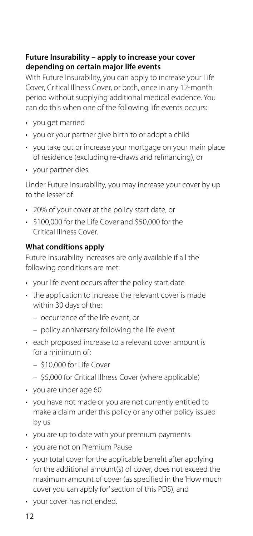#### **Future Insurability – apply to increase your cover depending on certain major life events**

With Future Insurability, you can apply to increase your Life Cover, Critical Illness Cover, or both, once in any 12-month period without supplying additional medical evidence. You can do this when one of the following life events occurs:

- you get married
- you or your partner give birth to or adopt a child
- you take out or increase your mortgage on your main place of residence (excluding re-draws and refinancing), or
- your partner dies.

Under Future Insurability, you may increase your cover by up to the lesser of:

- 20% of your cover at the policy start date, or
- \$100,000 for the Life Cover and \$50,000 for the Critical Illness Cover.

#### **What conditions apply**

Future Insurability increases are only available if all the following conditions are met:

- your life event occurs after the policy start date
- the application to increase the relevant cover is made within 30 days of the:
	- occurrence of the life event, or
	- policy anniversary following the life event
- each proposed increase to a relevant cover amount is for a minimum of:
	- $=$  \$10,000 for Life Cover
	- \$5,000 for Critical Illness Cover (where applicable)
- you are under age 60
- you have not made or you are not currently entitled to make a claim under this policy or any other policy issued by us
- you are up to date with your premium payments
- you are not on Premium Pause
- your total cover for the applicable benefit after applying for the additional amount(s) of cover, does not exceed the maximum amount of cover (as specified in the 'How much cover you can apply for' section of this PDS), and
- your cover has not ended.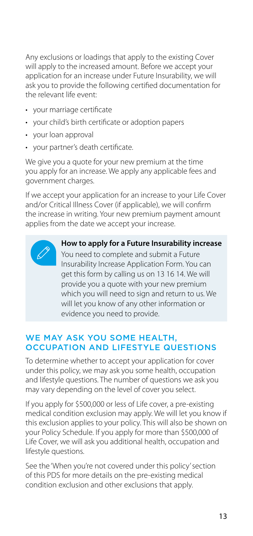<span id="page-12-0"></span>Any exclusions or loadings that apply to the existing Cover will apply to the increased amount. Before we accept your application for an increase under Future Insurability, we will ask you to provide the following certified documentation for the relevant life event:

- your marriage certificate
- your child's birth certificate or adoption papers
- your loan approval
- your partner's death certificate.

We give you a quote for your new premium at the time you apply for an increase. We apply any applicable fees and government charges.

If we accept your application for an increase to your Life Cover and/or Critical Illness Cover (if applicable), we will confirm the increase in writing. Your new premium payment amount applies from the date we accept your increase.



**How to apply for a Future Insurability increase** You need to complete and submit a Future Insurability Increase Application Form. You can get this form by calling us on 13 16 14. We will provide you a quote with your new premium which you will need to sign and return to us. We will let you know of any other information or evidence you need to provide.

#### WE MAY ASK YOU SOME HEALTH. OCCUPATION AND LIFESTYLE QUESTIONS

To determine whether to accept your application for cover under this policy, we may ask you some health, occupation and lifestyle questions. The number of questions we ask you may vary depending on the level of cover you select.

If you apply for \$500,000 or less of Life cover, a pre-existing medical condition exclusion may apply. We will let you know if this exclusion applies to your policy. This will also be shown on your Policy Schedule. If you apply for more than \$500,000 of Life Cover, we will ask you additional health, occupation and lifestyle questions.

See the 'When you're not covered under this policy' section of this PDS for more details on the pre-existing medical condition exclusion and other exclusions that apply.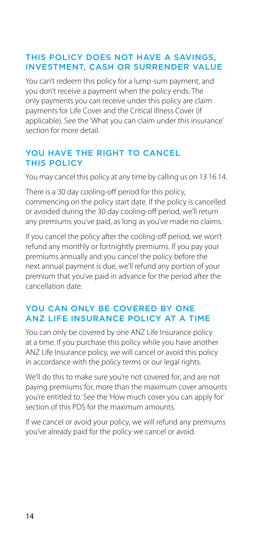#### <span id="page-13-0"></span>THIS POLICY DOES NOT HAVE A SAVINGS, INVESTMENT, CASH OR SURRENDER VALUE

You can't redeem this policy for a lump-sum payment, and you don't receive a payment when the policy ends. The only payments you can receive under this policy are claim payments for Life Cover and the Critical Illness Cover (if applicable). See the 'What you can claim under this insurance' section for more detail.

#### YOU HAVE THE RIGHT TO CANCEL THIS POLICY

You may cancel this policy at any time by calling us on 13 16 14.

There is a 30 day cooling-off period for this policy, commencing on the policy start date. If the policy is cancelled or avoided during the 30 day cooling-off period, we'll return any premiums you've paid, as long as you've made no claims.

If you cancel the policy after the cooling-off period, we won't refund any monthly or fortnightly premiums. If you pay your premiums annually and you cancel the policy before the next annual payment is due, we'll refund any portion of your premium that you've paid in advance for the period after the cancellation date.

#### YOU CAN ONLY BE COVERED BY ONE ANZ LIFE INSURANCE POLICY AT A TIME

You can only be covered by one ANZ Life Insurance policy at a time. If you purchase this policy while you have another ANZ Life Insurance policy, we will cancel or avoid this policy in accordance with the policy terms or our legal rights.

We'll do this to make sure you're not covered for, and are not paying premiums for, more than the maximum cover amounts you're entitled to. See the 'How much cover you can apply for' section of this PDS for the maximum amounts.

If we cancel or avoid your policy, we will refund any premiums you've already paid for the policy we cancel or avoid.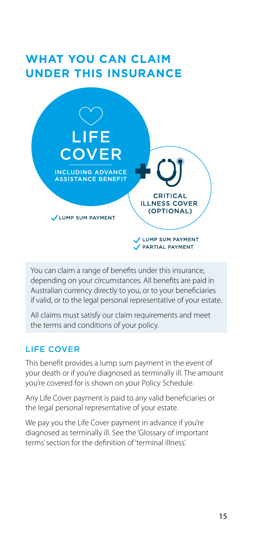## <span id="page-14-0"></span>**WHAT YOU CAN CLAIM UNDER THIS INSURANCE**



You can claim a range of benefits under this insurance, depending on your circumstances. All benefits are paid in Australian currency directly to you, or to your beneficiaries if valid, or to the legal personal representative of your estate.

All claims must satisfy our claim requirements and meet the terms and conditions of your policy.

#### LIFE COVER

This benefit provides a lump sum payment in the event of your death or if you're diagnosed as terminally ill. The amount you're covered for is shown on your Policy Schedule.

Any Life Cover payment is paid to any valid beneficiaries or the legal personal representative of your estate.

We pay you the Life Cover payment in advance if you're diagnosed as terminally ill. See the 'Glossary of important terms' section for the definition of 'terminal illness'.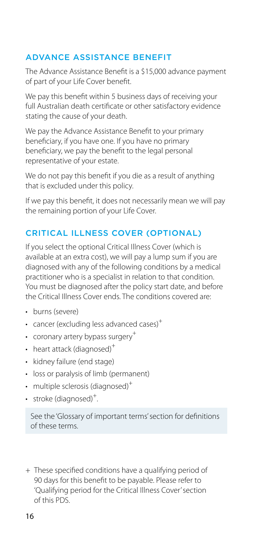#### <span id="page-15-0"></span>ADVANCE ASSISTANCE BENEFIT

The Advance Assistance Benefit is a \$15,000 advance payment of part of your Life Cover benefit.

We pay this benefit within 5 business days of receiving your full Australian death certificate or other satisfactory evidence stating the cause of your death.

We pay the Advance Assistance Benefit to your primary beneficiary, if you have one. If you have no primary beneficiary, we pay the benefit to the legal personal representative of your estate.

We do not pay this benefit if you die as a result of anything that is excluded under this policy.

If we pay this benefit, it does not necessarily mean we will pay the remaining portion of your Life Cover.

#### CRITICAL ILLNESS COVER (OPTIONAL)

If you select the optional Critical Illness Cover (which is available at an extra cost), we will pay a lump sum if you are diagnosed with any of the following conditions by a medical practitioner who is a specialist in relation to that condition. You must be diagnosed after the policy start date, and before the Critical Illness Cover ends. The conditions covered are:

- burns (severe)
- cancer (excluding less advanced cases) $+$
- coronary artery bypass surgery $^+$
- heart attack (diagnosed)<sup>+</sup>
- kidney failure (end stage)
- loss or paralysis of limb (permanent)
- $\cdot$  multiple sclerosis (diagnosed)<sup>+</sup>
- stroke (diagnosed) $+$ . .

See the 'Glossary of important terms' section for definitions of these terms.

+ These specified conditions have a qualifying period of 90 days for this benefit to be payable. Please refer to 'Qualifying period for the Critical Illness Cover' section of this PDS.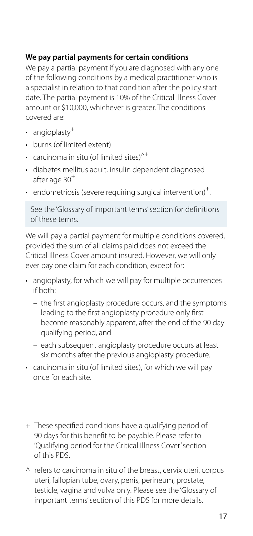#### **We pay partial payments for certain conditions**

We pay a partial payment if you are diagnosed with any one of the following conditions by a medical practitioner who is a specialist in relation to that condition after the policy start date. The partial payment is 10% of the Critical Illness Cover amount or \$10,000, whichever is greater. The conditions covered are:

- angioplasty<sup>+</sup>
- burns (of limited extent)
- carcinoma in situ (of limited sites)<sup> $\wedge^+$ </sup>
- diabetes mellitus adult, insulin dependent diagnosed after age 30<sup>+</sup>
- endometriosis (severe requiring surgical intervention)<sup>+</sup>. .

See the 'Glossary of important terms' section for definitions of these terms.

We will pay a partial payment for multiple conditions covered, provided the sum of all claims paid does not exceed the Critical Illness Cover amount insured. However, we will only ever pay one claim for each condition, except for:

- angioplasty, for which we will pay for multiple occurrences if both:
	- the first angioplasty procedure occurs, and the symptoms leading to the first angioplasty procedure only first become reasonably apparent, after the end of the 90 day qualifying period, and
	- each subsequent angioplasty procedure occurs at least six months after the previous angioplasty procedure.
- carcinoma in situ (of limited sites), for which we will pay once for each site.
- + These specified conditions have a qualifying period of 90 days for this benefit to be payable. Please refer to 'Qualifying period for the Critical Illness Cover' section of this PDS.
- $\wedge$  refers to carcinoma in situ of the breast, cervix uteri, corpus uteri, fallopian tube, ovary, penis, perineum, prostate, testicle, vagina and vulva only. Please see the 'Glossary of important terms' section of this PDS for more details.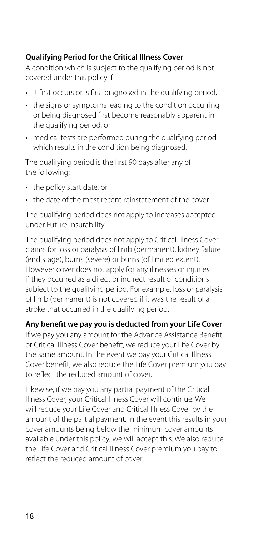#### **Qualifying Period for the Critical Illness Cover**

A condition which is subject to the qualifying period is not covered under this policy if:

- it first occurs or is first diagnosed in the qualifying period,
- the signs or symptoms leading to the condition occurring or being diagnosed first become reasonably apparent in the qualifying period, or
- medical tests are performed during the qualifying period which results in the condition being diagnosed.

The qualifying period is the first 90 days after any of the following:

- the policy start date, or
- the date of the most recent reinstatement of the cover.

The qualifying period does not apply to increases accepted under Future Insurability.

The qualifying period does not apply to Critical Illness Cover claims for loss or paralysis of limb (permanent), kidney failure (end stage), burns (severe) or burns (of limited extent). However cover does not apply for any illnesses or injuries if they occurred as a direct or indirect result of conditions subject to the qualifying period. For example, loss or paralysis of limb (permanent) is not covered if it was the result of a stroke that occurred in the qualifying period.

**Any benefit we pay you is deducted from your Life Cover**

If we pay you any amount for the Advance Assistance Benefit or Critical Illness Cover benefit, we reduce your Life Cover by the same amount. In the event we pay your Critical Illness Cover benefit, we also reduce the Life Cover premium you pay to reflect the reduced amount of cover.

Likewise, if we pay you any partial payment of the Critical Illness Cover, your Critical Illness Cover will continue. We will reduce your Life Cover and Critical Illness Cover by the amount of the partial payment. In the event this results in your cover amounts being below the minimum cover amounts available under this policy, we will accept this. We also reduce the Life Cover and Critical Illness Cover premium you pay to reflect the reduced amount of cover.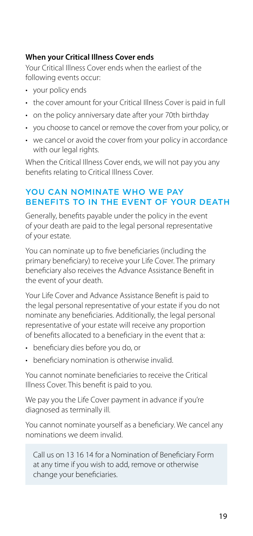#### <span id="page-18-0"></span>**When your Critical Illness Cover ends**

Your Critical Illness Cover ends when the earliest of the following events occur:

- your policy ends
- the cover amount for your Critical Illness Cover is paid in full
- on the policy anniversary date after your 70th birthday
- you choose to cancel or remove the cover from your policy, or
- we cancel or avoid the cover from your policy in accordance with our legal rights.

When the Critical Illness Cover ends, we will not pay you any benefits relating to Critical Illness Cover.

#### YOU CAN NOMINATE WHO WE PAY BENEFITS TO IN THE EVENT OF YOUR DEATH

Generally, benefits payable under the policy in the event of your death are paid to the legal personal representative of your estate.

You can nominate up to five beneficiaries (including the primary beneficiary) to receive your Life Cover. The primary beneficiary also receives the Advance Assistance Benefit in the event of your death.

Your Life Cover and Advance Assistance Benefit is paid to the legal personal representative of your estate if you do not nominate any beneficiaries. Additionally, the legal personal representative of your estate will receive any proportion of benefits allocated to a beneficiary in the event that a:

- beneficiary dies before you do, or
- beneficiary nomination is otherwise invalid.

You cannot nominate beneficiaries to receive the Critical Illness Cover. This benefit is paid to you.

We pay you the Life Cover payment in advance if you're diagnosed as terminally ill.

You cannot nominate yourself as a beneficiary. We cancel any nominations we deem invalid.

Call us on 13 16 14 for a Nomination of Beneficiary Form at any time if you wish to add, remove or otherwise change your beneficiaries.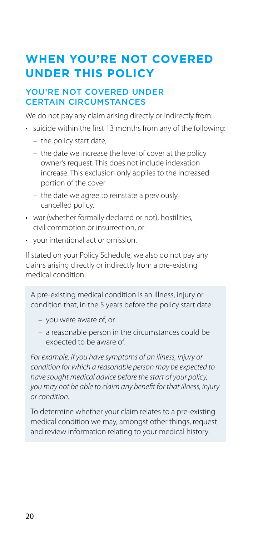## <span id="page-19-0"></span>**WHEN YOU'RE NOT COVERED UNDER THIS POLICY**

#### YOU'RE NOT COVERED UNDER CERTAIN CIRCUMSTANCES

We do not pay any claim arising directly or indirectly from:

- suicide within the first 13 months from any of the following:
	- the policy start date,
	- the date we increase the level of cover at the policy owner's request. This does not include indexation increase. This exclusion only applies to the increased portion of the cover
	- the date we agree to reinstate a previously cancelled policy.
- war (whether formally declared or not), hostilities, civil commotion or insurrection, or
- your intentional act or omission.

If stated on your Policy Schedule, we also do not pay any claims arising directly or indirectly from a pre-existing medical condition.

A pre-existing medical condition is an illness, injury or condition that, in the 5 years before the policy start date:

- you were aware of, or
- a reasonable person in the circumstances could be expected to be aware of.

*For example, if you have symptoms of an illness, injury or condition for which a reasonable person may be expected to have sought medical advice before the start of your policy, you may not be able to claim any benefit for that illness, injury or condition.* 

To determine whether your claim relates to a pre-existing medical condition we may, amongst other things, request and review information relating to your medical history.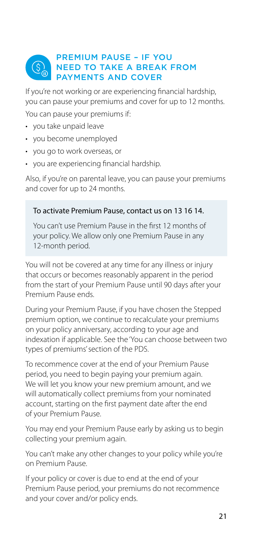#### <span id="page-20-0"></span>PREMIUM PAUSE – IF YOU NEED TO TAKE A BREAK FROM PAYMENTS AND COVER

If you're not working or are experiencing financial hardship, you can pause your premiums and cover for up to 12 months.

You can pause your premiums if:

- you take unpaid leave
- you become unemployed
- you go to work overseas, or
- you are experiencing financial hardship.

Also, if you're on parental leave, you can pause your premiums and cover for up to 24 months.

#### To activate Premium Pause, contact us on 13 16 14.

You can't use Premium Pause in the first 12 months of your policy. We allow only one Premium Pause in any 12-month period.

You will not be covered at any time for any illness or injury that occurs or becomes reasonably apparent in the period from the start of your Premium Pause until 90 days after your Premium Pause ends.

During your Premium Pause, if you have chosen the Stepped premium option, we continue to recalculate your premiums on your policy anniversary, according to your age and indexation if applicable. See the 'You can choose between two types of premiums' section of the PDS.

To recommence cover at the end of your Premium Pause period, you need to begin paying your premium again. We will let you know your new premium amount, and we will automatically collect premiums from your nominated account, starting on the first payment date after the end of your Premium Pause.

You may end your Premium Pause early by asking us to begin collecting your premium again.

You can't make any other changes to your policy while you're on Premium Pause.

If your policy or cover is due to end at the end of your Premium Pause period, your premiums do not recommence and your cover and/or policy ends.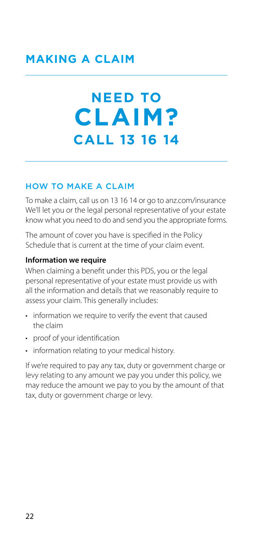# <span id="page-21-0"></span>**NEED TO CLAIM? CALL 13 16 14**

#### HOW TO MAKE A CLAIM

To make a claim, call us on 13 16 14 or go to [anz.com/insurance](http://anz.com/insurance) We'll let you or the legal personal representative of your estate know what you need to do and send you the appropriate forms.

The amount of cover you have is specified in the Policy Schedule that is current at the time of your claim event.

#### **Information we require**

When claiming a benefit under this PDS, you or the legal personal representative of your estate must provide us with all the information and details that we reasonably require to assess your claim. This generally includes:

- information we require to verify the event that caused the claim
- proof of your identification
- information relating to your medical history.

If we're required to pay any tax, duty or government charge or levy relating to any amount we pay you under this policy, we may reduce the amount we pay to you by the amount of that tax, duty or government charge or levy.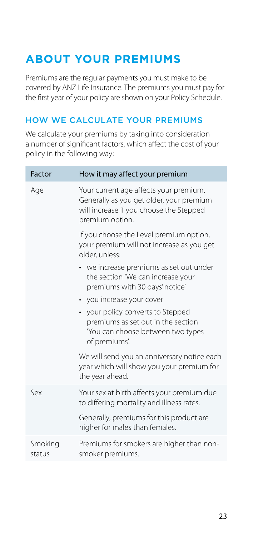## <span id="page-22-0"></span>**ABOUT YOUR PREMIUMS**

Premiums are the regular payments you must make to be covered by ANZ Life Insurance. The premiums you must pay for the first year of your policy are shown on your Policy Schedule.

#### HOW WE CALCULATE YOUR PREMIUMS

We calculate your premiums by taking into consideration a number of significant factors, which affect the cost of your policy in the following way:

| Factor            | How it may affect your premium                                                                                                                   |
|-------------------|--------------------------------------------------------------------------------------------------------------------------------------------------|
| Age               | Your current age affects your premium.<br>Generally as you get older, your premium<br>will increase if you choose the Stepped<br>premium option. |
|                   | If you choose the Level premium option,<br>your premium will not increase as you get<br>older, unless:                                           |
|                   | • we increase premiums as set out under<br>the section 'We can increase your<br>premiums with 30 days' notice'                                   |
|                   | • you increase your cover                                                                                                                        |
|                   | • your policy converts to Stepped<br>premiums as set out in the section<br>'You can choose between two types<br>of premiums'.                    |
|                   | We will send you an anniversary notice each<br>year which will show you your premium for<br>the year ahead.                                      |
| $S_{\rho X}$      | Your sex at birth affects your premium due<br>to differing mortality and illness rates.                                                          |
|                   | Generally, premiums for this product are<br>higher for males than females.                                                                       |
| Smoking<br>status | Premiums for smokers are higher than non-<br>smoker premiums.                                                                                    |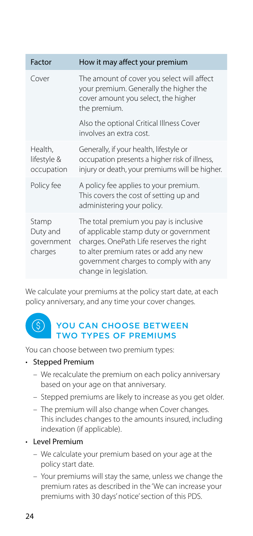<span id="page-23-0"></span>

| Factor                                     | How it may affect your premium                                                                                                                                                                                                           |
|--------------------------------------------|------------------------------------------------------------------------------------------------------------------------------------------------------------------------------------------------------------------------------------------|
| Cover                                      | The amount of cover you select will affect<br>your premium. Generally the higher the<br>cover amount you select, the higher<br>the premium.                                                                                              |
|                                            | Also the optional Critical Illness Cover<br>involves an extra cost.                                                                                                                                                                      |
| Health,<br>lifestyle &<br>occupation       | Generally, if your health, lifestyle or<br>occupation presents a higher risk of illness,<br>injury or death, your premiums will be higher.                                                                                               |
| Policy fee                                 | A policy fee applies to your premium.<br>This covers the cost of setting up and<br>administering your policy.                                                                                                                            |
| Stamp<br>Duty and<br>government<br>charges | The total premium you pay is inclusive<br>of applicable stamp duty or government<br>charges. OnePath Life reserves the right<br>to alter premium rates or add any new<br>government charges to comply with any<br>change in legislation. |

We calculate your premiums at the policy start date, at each policy anniversary, and any time your cover changes.

#### $(\S)$ YOU CAN CHOOSE BETWEEN TWO TYPES OF PREMIUMS

You can choose between two premium types:

#### • Stepped Premium

- We recalculate the premium on each policy anniversary based on your age on that anniversary.
- Stepped premiums are likely to increase as you get older.
- The premium will also change when Cover changes. This includes changes to the amounts insured, including indexation (if applicable).

#### • Level Premium

- We calculate your premium based on your age at the policy start date.
- Your premiums will stay the same, unless we change the premium rates as described in the 'We can increase your premiums with 30 days' notice' section of this PDS.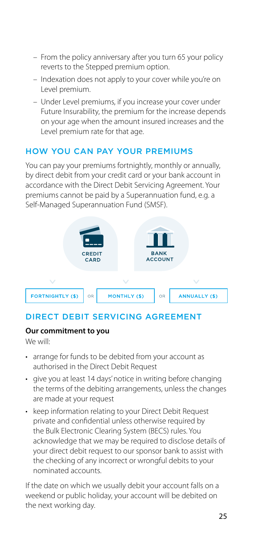- <span id="page-24-0"></span>– From the policy anniversary after you turn 65 your policy reverts to the Stepped premium option.
- Indexation does not apply to your cover while you're on Level premium.
- Under Level premiums, if you increase your cover under Future Insurability, the premium for the increase depends on your age when the amount insured increases and the Level premium rate for that age.

#### HOW YOU CAN PAY YOUR PREMIUMS

You can pay your premiums fortnightly, monthly or annually, by direct debit from your credit card or your bank account in accordance with the Direct Debit Servicing Agreement. Your premiums cannot be paid by a Superannuation fund, e.g. a Self-Managed Superannuation Fund (SMSF).



#### DIRECT DEBIT SERVICING AGREEMENT

#### **Our commitment to you**

We will:

- arrange for funds to be debited from your account as authorised in the Direct Debit Request
- give you at least 14 days' notice in writing before changing the terms of the debiting arrangements, unless the changes are made at your request
- keep information relating to your Direct Debit Request private and confidential unless otherwise required by the Bulk Electronic Clearing System (BECS) rules. You acknowledge that we may be required to disclose details of your direct debit request to our sponsor bank to assist with the checking of any incorrect or wrongful debits to your nominated accounts.

If the date on which we usually debit your account falls on a weekend or public holiday, your account will be debited on the next working day.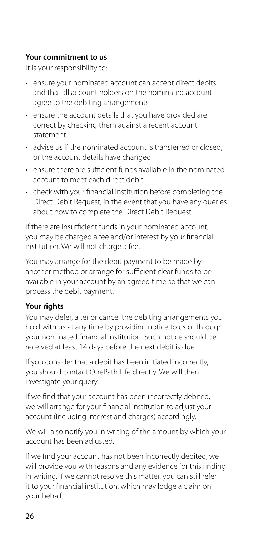#### **Your commitment to us**

It is your responsibility to:

- ensure your nominated account can accept direct debits and that all account holders on the nominated account agree to the debiting arrangements
- ensure the account details that you have provided are correct by checking them against a recent account statement
- advise us if the nominated account is transferred or closed, or the account details have changed
- ensure there are sufficient funds available in the nominated account to meet each direct debit
- check with your financial institution before completing the Direct Debit Request, in the event that you have any queries about how to complete the Direct Debit Request.

If there are insufficient funds in your nominated account, you may be charged a fee and/or interest by your financial institution. We will not charge a fee.

You may arrange for the debit payment to be made by another method or arrange for sufficient clear funds to be available in your account by an agreed time so that we can process the debit payment.

#### **Your rights**

You may defer, alter or cancel the debiting arrangements you hold with us at any time by providing notice to us or through your nominated financial institution. Such notice should be received at least 14 days before the next debit is due.

If you consider that a debit has been initiated incorrectly, you should contact OnePath Life directly. We will then investigate your query.

If we find that your account has been incorrectly debited, we will arrange for your financial institution to adjust your account (including interest and charges) accordingly.

We will also notify you in writing of the amount by which your account has been adjusted.

If we find your account has not been incorrectly debited, we will provide you with reasons and any evidence for this finding in writing. If we cannot resolve this matter, you can still refer it to your financial institution, which may lodge a claim on your behalf.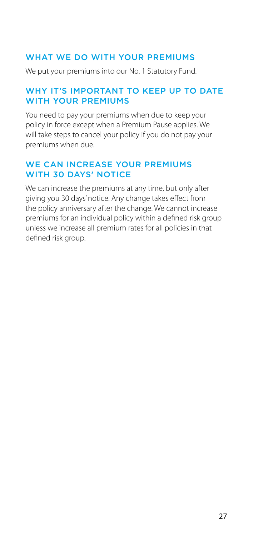#### <span id="page-26-0"></span>WHAT WE DO WITH YOUR PREMIUMS

We put your premiums into our No. 1 Statutory Fund.

#### WHY IT'S IMPORTANT TO KFFP UP TO DATE WITH YOUR PREMIUMS

You need to pay your premiums when due to keep your policy in force except when a Premium Pause applies. We will take steps to cancel your policy if you do not pay your premiums when due.

#### WE CAN INCREASE YOUR PREMIUMS WITH 30 DAYS' NOTICE

We can increase the premiums at any time, but only after giving you 30 days' notice. Any change takes effect from the policy anniversary after the change. We cannot increase premiums for an individual policy within a defined risk group unless we increase all premium rates for all policies in that defined risk group.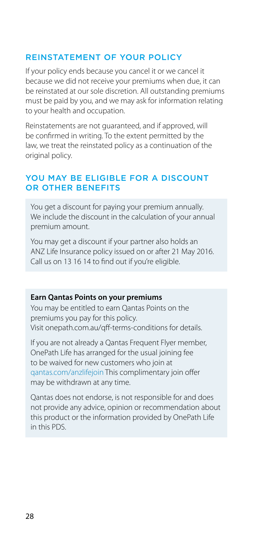#### <span id="page-27-0"></span>REINSTATEMENT OF YOUR POLICY

If your policy ends because you cancel it or we cancel it because we did not receive your premiums when due, it can be reinstated at our sole discretion. All outstanding premiums must be paid by you, and we may ask for information relating to your health and occupation.

Reinstatements are not guaranteed, and if approved, will be confirmed in writing. To the extent permitted by the law, we treat the reinstated policy as a continuation of the original policy.

#### YOU MAY BE ELIGIBLE FOR A DISCOUNT OR OTHER BENEFITS

You get a discount for paying your premium annually. We include the discount in the calculation of your annual premium amount.

You may get a discount if your partner also holds an ANZ Life Insurance policy issued on or after 21 May 2016. Call us on 13 16 14 to find out if you're eligible.

#### **Earn Qantas Points on your premiums**

You may be entitled to earn Qantas Points on the premiums you pay for this policy. Visit [onepath.com.au/qff-terms-conditions](http://onepath.com.au/qff-terms-conditions) for details.

If you are not already a Qantas Frequent Flyer member, OnePath Life has arranged for the usual joining fee to be waived for new customers who join at [qantas.com/anzlifejoin](http://qantas.com/anzlifejoin) This complimentary join offer may be withdrawn at any time.

Qantas does not endorse, is not responsible for and does not provide any advice, opinion or recommendation about this product or the information provided by OnePath Life in this PDS.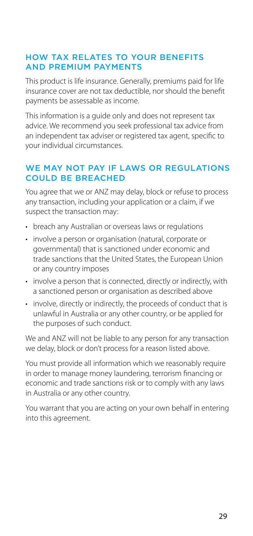#### <span id="page-28-0"></span>HOW TAX RELATES TO YOUR BENEFITS AND PREMIUM PAYMENTS

This product is life insurance. Generally, premiums paid for life insurance cover are not tax deductible, nor should the benefit payments be assessable as income.

This information is a guide only and does not represent tax advice. We recommend you seek professional tax advice from an independent tax adviser or registered tax agent, specific to your individual circumstances.

#### WE MAY NOT PAY IF LAWS OR REGULATIONS COULD BE BREACHED

You agree that we or ANZ may delay, block or refuse to process any transaction, including your application or a claim, if we suspect the transaction may:

- breach any Australian or overseas laws or regulations
- involve a person or organisation (natural, corporate or governmental) that is sanctioned under economic and trade sanctions that the United States, the European Union or any country imposes
- involve a person that is connected, directly or indirectly, with a sanctioned person or organisation as described above
- involve, directly or indirectly, the proceeds of conduct that is unlawful in Australia or any other country, or be applied for the purposes of such conduct.

We and ANZ will not be liable to any person for any transaction we delay, block or don't process for a reason listed above.

You must provide all information which we reasonably require in order to manage money laundering, terrorism financing or economic and trade sanctions risk or to comply with any laws in Australia or any other country.

You warrant that you are acting on your own behalf in entering into this agreement.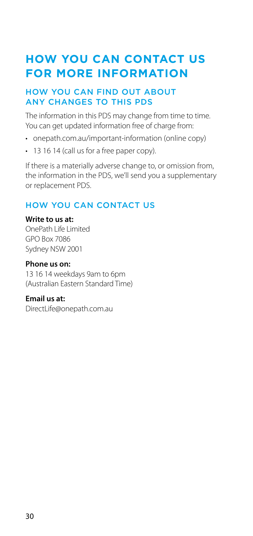## <span id="page-29-0"></span>**HOW YOU CAN CONTACT US FOR MORE INFORMATION**

#### HOW YOU CAN FIND OUT ABOUT ANY CHANGES TO THIS PDS

The information in this PDS may change from time to time. You can get updated information free of charge from:

- [onepath.com.au/important-information](http://onepath.com.au/important-information) (online copy)
- 13 16 14 (call us for a free paper copy).

If there is a materially adverse change to, or omission from, the information in the PDS, we'll send you a supplementary or replacement PDS.

#### HOW YOU CAN CONTACT US

#### **Write to us at:**

OnePath Life Limited GPO Box 7086 Sydney NSW 2001

#### **Phone us on:**

13 16 14 weekdays 9am to 6pm (Australian Eastern Standard Time)

#### **Email us at:**

[DirectLife@onepath.com.au](mailto:DirectLife@onepath.com.au)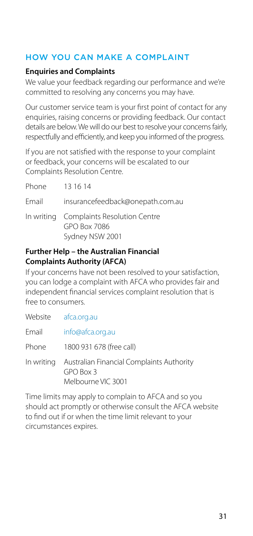#### <span id="page-30-0"></span>HOW YOU CAN MAKE A COMPLAINT

#### **Enquiries and Complaints**

We value your feedback regarding our performance and we're committed to resolving any concerns you may have.

Our customer service team is your first point of contact for any enquiries, raising concerns or providing feedback. Our contact details are below. We will do our best to resolve your concerns fairly, respectfully and efficiently, and keep you informed of the progress.

If you are not satisfied with the response to your complaint or feedback, your concerns will be escalated to our Complaints Resolution Centre.

| Phone | - 13 16 14                                                                 |
|-------|----------------------------------------------------------------------------|
| Email | insurancefeedback@onepath.com.au                                           |
|       | In writing Complaints Resolution Centre<br>GPO Box 7086<br>Sydney NSW 2001 |

#### **Further Help – the Australian Financial Complaints Authority (AFCA)**

If your concerns have not been resolved to your satisfaction, you can lodge a complaint with AFCA who provides fair and independent financial services complaint resolution that is free to consumers.

Website [afca.org.au](http://afca.org.au)

Email [info@afca.org.au](mailto:info%40afca.org.au?subject=)

Phone 1800 931 678 (free call)

In writing Australian Financial Complaints Authority GPO Box 3 Melbourne VIC 3001

Time limits may apply to complain to AFCA and so you should act promptly or otherwise consult the AFCA website to find out if or when the time limit relevant to your circumstances expires.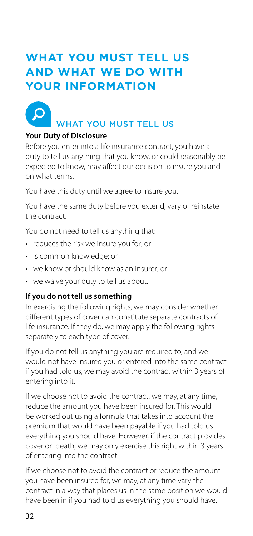## <span id="page-31-0"></span>**WHAT YOU MUST TELL US AND WHAT WE DO WITH YOUR INFORMATION**



## WHAT YOU MUST TELL US

#### **Your Duty of Disclosure**

Before you enter into a life insurance contract, you have a duty to tell us anything that you know, or could reasonably be expected to know, may affect our decision to insure you and on what terms.

You have this duty until we agree to insure you.

You have the same duty before you extend, vary or reinstate the contract.

You do not need to tell us anything that:

- reduces the risk we insure you for; or
- is common knowledge; or
- we know or should know as an insurer; or
- we waive your duty to tell us about.

#### **If you do not tell us something**

In exercising the following rights, we may consider whether different types of cover can constitute separate contracts of life insurance. If they do, we may apply the following rights separately to each type of cover.

If you do not tell us anything you are required to, and we would not have insured you or entered into the same contract if you had told us, we may avoid the contract within 3 years of entering into it.

If we choose not to avoid the contract, we may, at any time, reduce the amount you have been insured for. This would be worked out using a formula that takes into account the premium that would have been payable if you had told us everything you should have. However, if the contract provides cover on death, we may only exercise this right within 3 years of entering into the contract.

If we choose not to avoid the contract or reduce the amount you have been insured for, we may, at any time vary the contract in a way that places us in the same position we would have been in if you had told us everything you should have.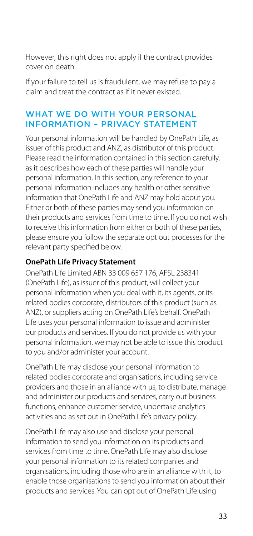<span id="page-32-0"></span>However, this right does not apply if the contract provides cover on death.

If your failure to tell us is fraudulent, we may refuse to pay a claim and treat the contract as if it never existed.

#### WHAT WE DO WITH YOUR PERSONAL INFORMATION – PRIVACY STATEMENT

Your personal information will be handled by OnePath Life, as issuer of this product and ANZ, as distributor of this product. Please read the information contained in this section carefully, as it describes how each of these parties will handle your personal information. In this section, any reference to your personal information includes any health or other sensitive information that OnePath Life and ANZ may hold about you. Either or both of these parties may send you information on their products and services from time to time. If you do not wish to receive this information from either or both of these parties, please ensure you follow the separate opt out processes for the relevant party specified below.

#### **OnePath Life Privacy Statement**

OnePath Life Limited ABN 33 009 657 176, AFSL 238341 (OnePath Life), as issuer of this product, will collect your personal information when you deal with it, its agents, or its related bodies corporate, distributors of this product (such as ANZ), or suppliers acting on OnePath Life's behalf. OnePath Life uses your personal information to issue and administer our products and services. If you do not provide us with your personal information, we may not be able to issue this product to you and/or administer your account.

OnePath Life may disclose your personal information to related bodies corporate and organisations, including service providers and those in an alliance with us, to distribute, manage and administer our products and services, carry out business functions, enhance customer service, undertake analytics activities and as set out in OnePath Life's privacy policy.

OnePath Life may also use and disclose your personal information to send you information on its products and services from time to time. OnePath Life may also disclose your personal information to its related companies and organisations, including those who are in an alliance with it, to enable those organisations to send you information about their products and services. You can opt out of OnePath Life using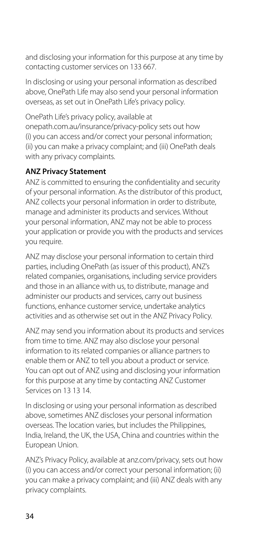and disclosing your information for this purpose at any time by contacting customer services on 133 667.

In disclosing or using your personal information as described above, OnePath Life may also send your personal information overseas, as set out in OnePath Life's privacy policy.

OnePath Life's privacy policy, available at [onepath.com.au/insurance/privacy-policy](http://onepath.com.au/insurance/privacy-policy) sets out how (i) you can access and/or correct your personal information; (ii) you can make a privacy complaint; and (iii) OnePath deals with any privacy complaints.

#### **ANZ Privacy Statement**

ANZ is committed to ensuring the confidentiality and security of your personal information. As the distributor of this product, ANZ collects your personal information in order to distribute, manage and administer its products and services. Without your personal information, ANZ may not be able to process your application or provide you with the products and services you require.

ANZ may disclose your personal information to certain third parties, including OnePath (as issuer of this product), ANZ's related companies, organisations, including service providers and those in an alliance with us, to distribute, manage and administer our products and services, carry out business functions, enhance customer service, undertake analytics activities and as otherwise set out in the ANZ Privacy Policy.

ANZ may send you information about its products and services from time to time. ANZ may also disclose your personal information to its related companies or alliance partners to enable them or ANZ to tell you about a product or service. You can opt out of ANZ using and disclosing your information for this purpose at any time by contacting ANZ Customer Services on 13 13 14.

In disclosing or using your personal information as described above, sometimes ANZ discloses your personal information overseas. The location varies, but includes the Philippines, India, Ireland, the UK, the USA, China and countries within the European Union.

ANZ's Privacy Policy, available at [anz.com/privacy,](http://anz.com/privacy) sets out how (i) you can access and/or correct your personal information; (ii) you can make a privacy complaint; and (iii) ANZ deals with any privacy complaints.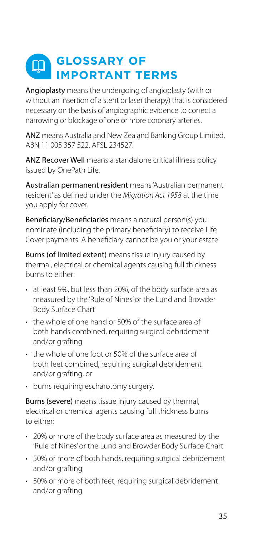#### <span id="page-34-0"></span>**GLOSSARY OF**   $\boxed{\Box}$ **IMPORTANT TERMS**

Angioplasty means the undergoing of angioplasty (with or without an insertion of a stent or laser therapy) that is considered necessary on the basis of angiographic evidence to correct a narrowing or blockage of one or more coronary arteries.

ANZ means Australia and New Zealand Banking Group Limited, ABN 11 005 357 522, AFSL 234527.

ANZ Recover Well means a standalone critical illness policy issued by OnePath Life.

Australian permanent resident means 'Australian permanent resident' as defined under the *Migration Act 1958* at the time you apply for cover.

Beneficiary/Beneficiaries means a natural person(s) you nominate (including the primary beneficiary) to receive Life Cover payments. A beneficiary cannot be you or your estate.

Burns (of limited extent) means tissue injury caused by thermal, electrical or chemical agents causing full thickness burns to either:

- at least 9%, but less than 20%, of the body surface area as measured by the 'Rule of Nines' or the Lund and Browder Body Surface Chart
- the whole of one hand or 50% of the surface area of both hands combined, requiring surgical debridement and/or grafting
- the whole of one foot or 50% of the surface area of both feet combined, requiring surgical debridement and/or grafting, or
- burns requiring escharotomy surgery.

Burns (severe) means tissue injury caused by thermal. electrical or chemical agents causing full thickness burns to either:

- 20% or more of the body surface area as measured by the 'Rule of Nines' or the Lund and Browder Body Surface Chart
- 50% or more of both hands, requiring surgical debridement and/or grafting
- 50% or more of both feet, requiring surgical debridement and/or grafting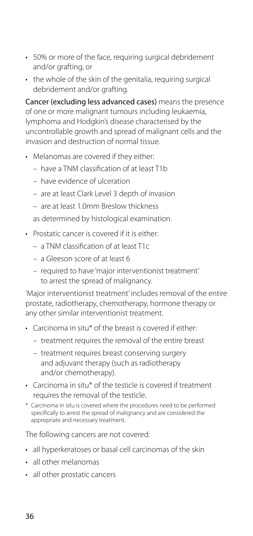- 50% or more of the face, requiring surgical debridement and/or grafting, or
- the whole of the skin of the genitalia, requiring surgical debridement and/or grafting.

Cancer (excluding less advanced cases) means the presence of one or more malignant tumours including leukaemia, lymphoma and Hodgkin's disease characterised by the uncontrollable growth and spread of malignant cells and the invasion and destruction of normal tissue.

- Melanomas are covered if they either:
	- have a TNM classification of at least T1b
	- have evidence of ulceration
	- are at least Clark Level 3 depth of invasion
	- are at least 1.0mm Breslow thickness

as determined by histological examination.

- Prostatic cancer is covered if it is either:
	- a TNM classification of at least T1c
	- a Gleeson score of at least 6
	- required to have 'major interventionist treatment' to arrest the spread of malignancy.

'Major interventionist treatment' includes removal of the entire prostate, radiotherapy, chemotherapy, hormone therapy or any other similar interventionist treatment.

- Carcinoma in situ\* of the breast is covered if either:
	- treatment requires the removal of the entire breast
	- treatment requires breast conserving surgery and adjuvant therapy (such as radiotherapy and/or chemotherapy).
- Carcinoma in situ\* of the testicle is covered if treatment requires the removal of the testicle.
- \* Carcinoma in situ is covered where the procedures need to be performed specifically to arrest the spread of malignancy and are considered the appropriate and necessary treatment.

The following cancers are not covered:

- all hyperkeratoses or basal cell carcinomas of the skin
- all other melanomas
- all other prostatic cancers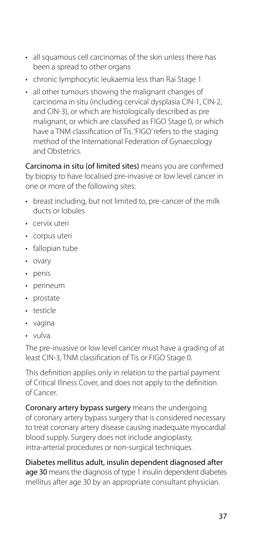- all squamous cell carcinomas of the skin unless there has been a spread to other organs
- chronic lymphocytic leukaemia less than Rai Stage 1
- all other tumours showing the malignant changes of carcinoma in situ (including cervical dysplasia CIN-1, CIN-2, and CIN-3), or which are histologically described as pre malignant, or which are classified as FIGO Stage 0, or which have a TNM classification of Tis. 'FIGO' refers to the staging method of the International Federation of Gynaecology and Obstetrics.

Carcinoma in situ (of limited sites) means you are confirmed by biopsy to have localised pre-invasive or low level cancer in one or more of the following sites:

- breast including, but not limited to, pre-cancer of the milk ducts or lobules
- cervix uteri
- corpus uteri
- fallopian tube
- ovary
- penis
- perineum
- prostate
- testicle
- vagina
- vulva.

The pre-invasive or low level cancer must have a grading of at least CIN-3, TNM classification of Tis or FIGO Stage 0.

This definition applies only in relation to the partial payment of Critical Illness Cover, and does not apply to the definition of Cancer.

Coronary artery bypass surgery means the undergoing of coronary artery bypass surgery that is considered necessary to treat coronary artery disease causing inadequate myocardial blood supply. Surgery does not include angioplasty, intra-arterial procedures or non-surgical techniques.

Diabetes mellitus adult, insulin dependent diagnosed after age 30 means the diagnosis of type 1 insulin dependent diabetes mellitus after age 30 by an appropriate consultant physician.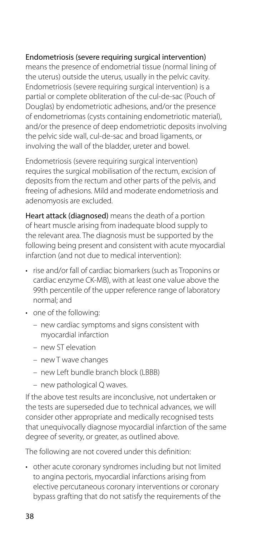#### Endometriosis (severe requiring surgical intervention)

means the presence of endometrial tissue (normal lining of the uterus) outside the uterus, usually in the pelvic cavity. Endometriosis (severe requiring surgical intervention) is a partial or complete obliteration of the cul-de-sac (Pouch of Douglas) by endometriotic adhesions, and/or the presence of endometriomas (cysts containing endometriotic material), and/or the presence of deep endometriotic deposits involving the pelvic side wall, cul-de-sac and broad ligaments, or involving the wall of the bladder, ureter and bowel.

Endometriosis (severe requiring surgical intervention) requires the surgical mobilisation of the rectum, excision of deposits from the rectum and other parts of the pelvis, and freeing of adhesions. Mild and moderate endometriosis and adenomyosis are excluded.

Heart attack (diagnosed) means the death of a portion of heart muscle arising from inadequate blood supply to the relevant area. The diagnosis must be supported by the following being present and consistent with acute myocardial infarction (and not due to medical intervention):

- rise and/or fall of cardiac biomarkers (such as Troponins or cardiac enzyme CK-MB), with at least one value above the 99th percentile of the upper reference range of laboratory normal; and
- one of the following:
	- new cardiac symptoms and signs consistent with myocardial infarction
	- new ST elevation
	- new T wave changes
	- new Left bundle branch block (LBBB)
	- new pathological Q waves.

If the above test results are inconclusive, not undertaken or the tests are superseded due to technical advances, we will consider other appropriate and medically recognised tests that unequivocally diagnose myocardial infarction of the same degree of severity, or greater, as outlined above.

The following are not covered under this definition:

• other acute coronary syndromes including but not limited to angina pectoris, myocardial infarctions arising from elective percutaneous coronary interventions or coronary bypass grafting that do not satisfy the requirements of the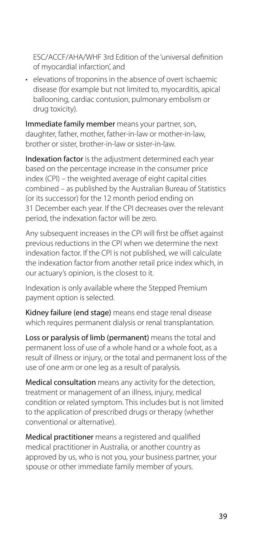ESC/ACCF/AHA/WHF 3rd Edition of the 'universal definition of myocardial infarction', and

• elevations of troponins in the absence of overt ischaemic disease (for example but not limited to, myocarditis, apical ballooning, cardiac contusion, pulmonary embolism or drug toxicity).

Immediate family member means your partner, son, daughter, father, mother, father-in-law or mother-in-law, brother or sister, brother-in-law or sister-in-law.

Indexation factor is the adjustment determined each year based on the percentage increase in the consumer price index (CPI) – the weighted average of eight capital cities combined – as published by the Australian Bureau of Statistics (or its successor) for the 12 month period ending on 31 December each year. If the CPI decreases over the relevant period, the indexation factor will be zero.

Any subsequent increases in the CPI will first be offset against previous reductions in the CPI when we determine the next indexation factor. If the CPI is not published, we will calculate the indexation factor from another retail price index which, in our actuary's opinion, is the closest to it.

Indexation is only available where the Stepped Premium payment option is selected.

Kidney failure (end stage) means end stage renal disease which requires permanent dialysis or renal transplantation.

Loss or paralysis of limb (permanent) means the total and permanent loss of use of a whole hand or a whole foot, as a result of illness or injury, or the total and permanent loss of the use of one arm or one leg as a result of paralysis.

Medical consultation means any activity for the detection, treatment or management of an illness, injury, medical condition or related symptom. This includes but is not limited to the application of prescribed drugs or therapy (whether conventional or alternative).

Medical practitioner means a registered and qualified medical practitioner in Australia, or another country as approved by us, who is not you, your business partner, your spouse or other immediate family member of yours.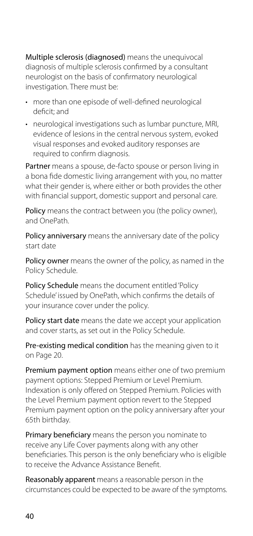Multiple sclerosis (diagnosed) means the unequivocal diagnosis of multiple sclerosis confirmed by a consultant neurologist on the basis of confirmatory neurological investigation. There must be:

- more than one episode of well-defined neurological deficit; and
- neurological investigations such as lumbar puncture, MRI, evidence of lesions in the central nervous system, evoked visual responses and evoked auditory responses are required to confirm diagnosis.

Partner means a spouse, de-facto spouse or person living in a bona fide domestic living arrangement with you, no matter what their gender is, where either or both provides the other with financial support, domestic support and personal care.

Policy means the contract between you (the policy owner), and OnePath.

Policy anniversary means the anniversary date of the policy start date

Policy owner means the owner of the policy, as named in the Policy Schedule.

Policy Schedule means the document entitled 'Policy Schedule' issued by OnePath, which confirms the details of your insurance cover under the policy.

Policy start date means the date we accept your application and cover starts, as set out in the Policy Schedule.

Pre-existing medical condition has the meaning given to it on Page 20.

Premium payment option means either one of two premium payment options: Stepped Premium or Level Premium. Indexation is only offered on Stepped Premium. Policies with the Level Premium payment option revert to the Stepped Premium payment option on the policy anniversary after your 65th birthday.

Primary beneficiary means the person you nominate to receive any Life Cover payments along with any other beneficiaries. This person is the only beneficiary who is eligible to receive the Advance Assistance Benefit.

Reasonably apparent means a reasonable person in the circumstances could be expected to be aware of the symptoms.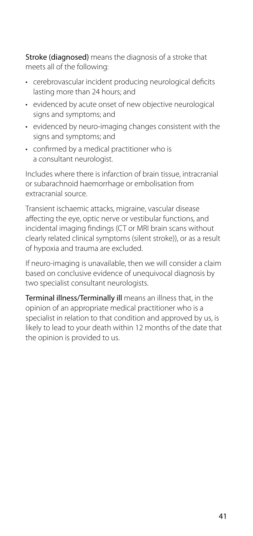Stroke (diagnosed) means the diagnosis of a stroke that meets all of the following:

- cerebrovascular incident producing neurological deficits lasting more than 24 hours; and
- evidenced by acute onset of new objective neurological signs and symptoms; and
- evidenced by neuro-imaging changes consistent with the signs and symptoms; and
- confirmed by a medical practitioner who is a consultant neurologist.

Includes where there is infarction of brain tissue, intracranial or subarachnoid haemorrhage or embolisation from extracranial source.

Transient ischaemic attacks, migraine, vascular disease affecting the eye, optic nerve or vestibular functions, and incidental imaging findings (CT or MRI brain scans without clearly related clinical symptoms (silent stroke)), or as a result of hypoxia and trauma are excluded.

If neuro-imaging is unavailable, then we will consider a claim based on conclusive evidence of unequivocal diagnosis by two specialist consultant neurologists.

Terminal illness/Terminally ill means an illness that, in the opinion of an appropriate medical practitioner who is a specialist in relation to that condition and approved by us, is likely to lead to your death within 12 months of the date that the opinion is provided to us.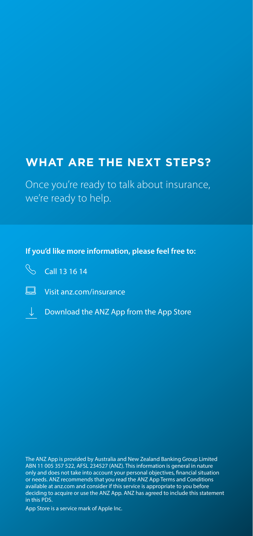### **WHAT ARE THE NEXT STEPS?**

Once you're ready to talk about insurance, we're ready to help.

#### **If you'd like more information, please feel free to:**



Visit [anz.com/insurance](http://anz.com/insurance)

↓ Download the ANZ App from the App Store

The ANZ App is provided by Australia and New Zealand Banking Group Limited ABN 11 005 357 522, AFSL 234527 (ANZ). This information is general in nature only and does not take into account your personal objectives, financial situation or needs. ANZ recommends that you read the ANZ App Terms and Conditions available at [anz.com](http://anz.com) and consider if this service is appropriate to you before deciding to acquire or use the ANZ App. ANZ has agreed to include this statement in this PDS.

App Store is a service mark of Apple Inc.